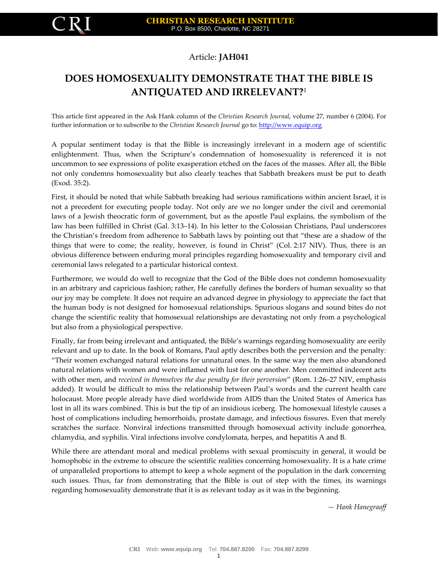## Article: **JAH041**

## **DOES HOMOSEXUALITY DEMONSTRATE THAT THE BIBLE IS ANTIQUATED AND IRRELEVANT?**<sup>1</sup>

This article first appeared in the Ask Hank column of the *Christian Research Journal*, volume 27, number 6 (2004). For further information or to subscribe to the *Christian Research Journal* go to: http://www.equip.org

A popular sentiment today is that the Bible is increasingly irrelevant in a modern age of scientific enlightenment. Thus, when the Scripture's condemnation of homosexuality is referenced it is not uncommon to see expressions of polite exasperation etched on the faces of the masses. After all, the Bible not only condemns homosexuality but also clearly teaches that Sabbath breakers must be put to death (Exod. 35:2).

First, it should be noted that while Sabbath breaking had serious ramifications within ancient Israel, it is not a precedent for executing people today. Not only are we no longer under the civil and ceremonial laws of a Jewish theocratic form of government, but as the apostle Paul explains, the symbolism of the law has been fulfilled in Christ (Gal. 3:13–14). In his letter to the Colossian Christians, Paul underscores the Christian's freedom from adherence to Sabbath laws by pointing out that "these are a shadow of the things that were to come; the reality, however, is found in Christ" (Col. 2:17 NIV). Thus, there is an obvious difference between enduring moral principles regarding homosexuality and temporary civil and ceremonial laws relegated to a particular historical context.

Furthermore, we would do well to recognize that the God of the Bible does not condemn homosexuality in an arbitrary and capricious fashion; rather, He carefully defines the borders of human sexuality so that our joy may be complete. It does not require an advanced degree in physiology to appreciate the fact that the human body is not designed for homosexual relationships. Spurious slogans and sound bites do not change the scientific reality that homosexual relationships are devastating not only from a psychological but also from a physiological perspective.

Finally, far from being irrelevant and antiquated, the Bible's warnings regarding homosexuality are eerily relevant and up to date. In the book of Romans, Paul aptly describes both the perversion and the penalty: "Their women exchanged natural relations for unnatural ones. In the same way the men also abandoned natural relations with women and were inflamed with lust for one another. Men committed indecent acts with other men, and *received in themselves the due penalty for their perversion*" (Rom. 1:26–27 NIV, emphasis added). It would be difficult to miss the relationship between Paul's words and the current health care holocaust. More people already have died worldwide from AIDS than the United States of America has lost in all its wars combined. This is but the tip of an insidious iceberg. The homosexual lifestyle causes a host of complications including hemorrhoids, prostate damage, and infectious fissures. Even that merely scratches the surface. Nonviral infections transmitted through homosexual activity include gonorrhea, chlamydia, and syphilis. Viral infections involve condylomata, herpes, and hepatitis A and B.

While there are attendant moral and medical problems with sexual promiscuity in general, it would be homophobic in the extreme to obscure the scientific realities concerning homosexuality. It is a hate crime of unparalleled proportions to attempt to keep a whole segment of the population in the dark concerning such issues. Thus, far from demonstrating that the Bible is out of step with the times, its warnings regarding homosexuality demonstrate that it is as relevant today as it was in the beginning.

*— Hank Hanegraaff*